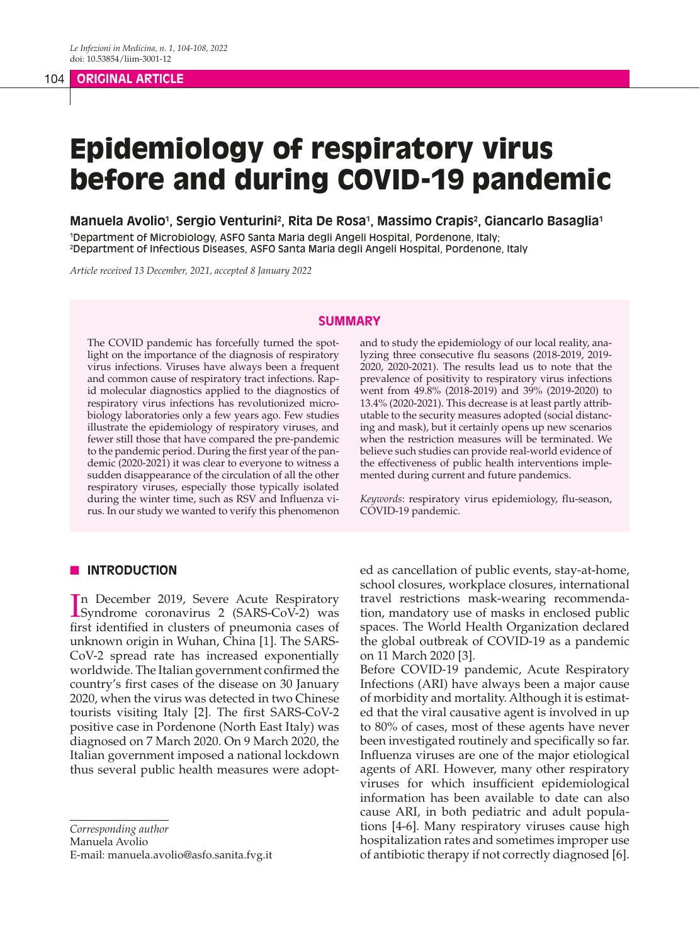# 104 **ORIGINAL ARTICLE**

# Epidemiology of respiratory virus before and during COVID-19 pandemic

**Manuela Avolio1 , Sergio Venturini2 , Rita De Rosa1 , Massimo Crapis2 , Giancarlo Basaglia1** 1 Department of Microbiology, ASFO Santa Maria degli Angeli Hospital, Pordenone, Italy;

2 Department of Infectious Diseases, ASFO Santa Maria degli Angeli Hospital, Pordenone, Italy

*Article received 13 December, 2021, accepted 8 January 2022*

#### **SUMMARY**

The COVID pandemic has forcefully turned the spotlight on the importance of the diagnosis of respiratory virus infections. Viruses have always been a frequent and common cause of respiratory tract infections. Rapid molecular diagnostics applied to the diagnostics of respiratory virus infections has revolutionized microbiology laboratories only a few years ago. Few studies illustrate the epidemiology of respiratory viruses, and fewer still those that have compared the pre-pandemic to the pandemic period. During the first year of the pandemic (2020-2021) it was clear to everyone to witness a sudden disappearance of the circulation of all the other respiratory viruses, especially those typically isolated during the winter time, such as RSV and Influenza virus. In our study we wanted to verify this phenomenon

# **N INTRODUCTION**

In December 2019, Severe Acute Respiratory<br>
Syndrome coronavirus 2 (SARS-CoV-2) was Syndrome coronavirus 2 (SARS-CoV-2) was first identified in clusters of pneumonia cases of unknown origin in Wuhan, China [1]. The SARS-CoV-2 spread rate has increased exponentially worldwide. The Italian government confirmed the country's first cases of the disease on 30 January 2020, when the virus was detected in two Chinese tourists visiting Italy [2]. The first SARS-CoV-2 positive case in Pordenone (North East Italy) was diagnosed on 7 March 2020. On 9 March 2020, the Italian government imposed a national lockdown thus several public health measures were adopt-

*Corresponding author*

Manuela Avolio

E-mail: manuela.avolio@asfo.sanita.fvg.it

and to study the epidemiology of our local reality, analyzing three consecutive flu seasons (2018-2019, 2019- 2020, 2020-2021). The results lead us to note that the prevalence of positivity to respiratory virus infections went from 49.8% (2018-2019) and 39% (2019-2020) to 13.4% (2020-2021). This decrease is at least partly attributable to the security measures adopted (social distancing and mask), but it certainly opens up new scenarios when the restriction measures will be terminated. We believe such studies can provide real-world evidence of the effectiveness of public health interventions implemented during current and future pandemics.

*Keywords*: respiratory virus epidemiology, flu-season, COVID-19 pandemic.

ed as cancellation of public events, stay-at-home, school closures, workplace closures, international travel restrictions mask-wearing recommendation, mandatory use of masks in enclosed public spaces. The World Health Organization declared the global outbreak of COVID-19 as a pandemic on 11 March 2020 [3].

Before COVID-19 pandemic, Acute Respiratory Infections (ARI) have always been a major cause of morbidity and mortality. Although it is estimated that the viral causative agent is involved in up to 80% of cases, most of these agents have never been investigated routinely and specifically so far. Influenza viruses are one of the major etiological agents of ARI. However, many other respiratory viruses for which insufficient epidemiological information has been available to date can also cause ARI, in both pediatric and adult populations [4-6]. Many respiratory viruses cause high hospitalization rates and sometimes improper use of antibiotic therapy if not correctly diagnosed [6].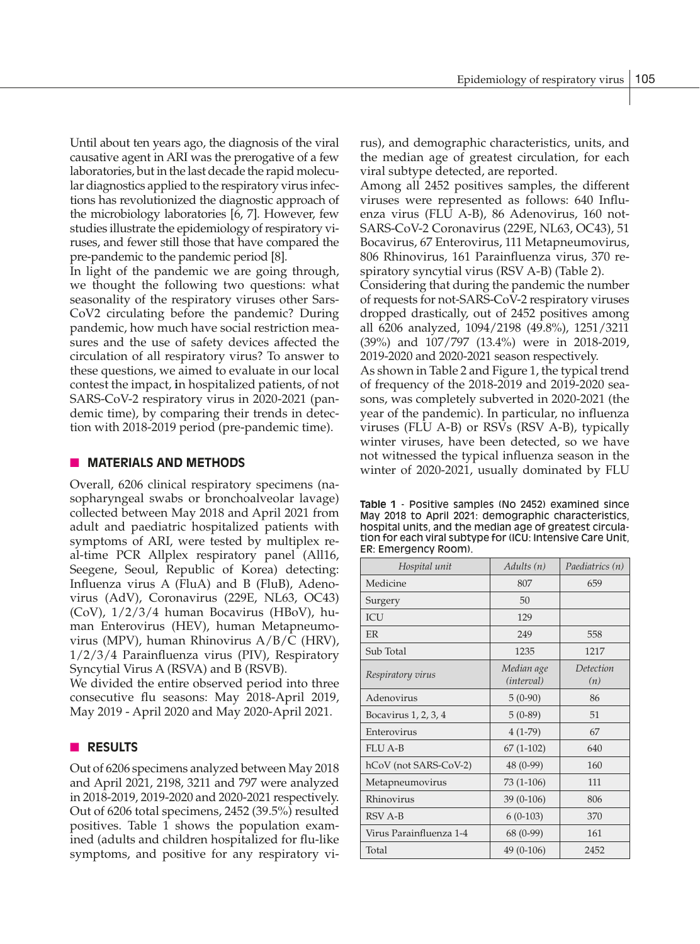Until about ten years ago, the diagnosis of the viral causative agent in ARI was the prerogative of a few laboratories, but in the last decade the rapid molecular diagnostics applied to the respiratory virus infections has revolutionized the diagnostic approach of the microbiology laboratories [6, 7]. However, few studies illustrate the epidemiology of respiratory viruses, and fewer still those that have compared the pre-pandemic to the pandemic period [8].

In light of the pandemic we are going through, we thought the following two questions: what seasonality of the respiratory viruses other Sars-CoV2 circulating before the pandemic? During pandemic, how much have social restriction measures and the use of safety devices affected the circulation of all respiratory virus? To answer to these questions, we aimed to evaluate in our local contest the impact, **i**n hospitalized patients, of not SARS-CoV-2 respiratory virus in 2020-2021 (pandemic time), by comparing their trends in detection with 2018-2019 period (pre-pandemic time).

# **NATERIALS AND METHODS**

Overall, 6206 clinical respiratory specimens (nasopharyngeal swabs or bronchoalveolar lavage) collected between May 2018 and April 2021 from adult and paediatric hospitalized patients with symptoms of ARI, were tested by multiplex real-time PCR Allplex respiratory panel (All16, Seegene, Seoul, Republic of Korea) detecting: Influenza virus A (FluA) and B (FluB), Adenovirus (AdV), Coronavirus (229E, NL63, OC43) (CoV), 1/2/3/4 human Bocavirus (HBoV), human Enterovirus (HEV), human Metapneumovirus (MPV), human Rhinovirus A/B/C (HRV), 1/2/3/4 Parainfluenza virus (PIV), Respiratory Syncytial Virus A (RSVA) and B (RSVB).

We divided the entire observed period into three consecutive flu seasons: May 2018-April 2019, May 2019 - April 2020 and May 2020-April 2021.

# **n RESULTS**

Out of 6206 specimens analyzed between May 2018 and April 2021, 2198, 3211 and 797 were analyzed in 2018-2019, 2019-2020 and 2020-2021 respectively. Out of 6206 total specimens, 2452 (39.5%) resulted positives. Table 1 shows the population examined (adults and children hospitalized for flu-like symptoms, and positive for any respiratory virus), and demographic characteristics, units, and the median age of greatest circulation, for each viral subtype detected, are reported.

Among all 2452 positives samples, the different viruses were represented as follows: 640 Influenza virus (FLU A-B), 86 Adenovirus, 160 not-SARS-CoV-2 Coronavirus (229E, NL63, OC43), 51 Bocavirus, 67 Enterovirus, 111 Metapneumovirus, 806 Rhinovirus, 161 Parainfluenza virus, 370 respiratory syncytial virus (RSV A-B) (Table 2).

Considering that during the pandemic the number of requests for not-SARS-CoV-2 respiratory viruses dropped drastically, out of 2452 positives among all 6206 analyzed, 1094/2198 (49.8%), 1251/3211 (39%) and 107/797 (13.4%) were in 2018-2019, 2019-2020 and 2020-2021 season respectively.

As shown in Table 2 and Figure 1, the typical trend of frequency of the 2018-2019 and 2019-2020 seasons, was completely subverted in 2020-2021 (the year of the pandemic). In particular, no influenza viruses (FLU A-B) or RSVs (RSV A-B), typically winter viruses, have been detected, so we have not witnessed the typical influenza season in the winter of 2020-2021, usually dominated by FLU

**Table 1** - Positive samples (No 2452) examined since May 2018 to April 2021: demographic characteristics, hospital units, and the median age of greatest circulation for each viral subtype for (ICU: Intensive Care Unit, ER: Emergency Room).

| Hospital unit           | Adults (n)               | Paediatrics (n)  |
|-------------------------|--------------------------|------------------|
| Medicine                | 807                      | 659              |
| Surgery                 | 50                       |                  |
| <b>ICU</b>              | 129                      |                  |
| <b>FR</b>               | 249                      | 558              |
| Sub Total               | 1235                     | 1217             |
| Respiratory virus       | Median age<br>(interval) | Detection<br>(n) |
| Adenovirus              | $5(0-90)$                | 86               |
| Bocavirus 1, 2, 3, 4    | $5(0-89)$                | 51               |
| Enterovirus             | $4(1-79)$                | 67               |
| <b>FLU A-B</b>          | $67(1-102)$              | 640              |
| hCoV (not SARS-CoV-2)   | 48 (0-99)                | 160              |
| Metapneumovirus         | $73(1-106)$              | 111              |
| Rhinovirus              | $39(0-106)$              | 806              |
| RSV A-B                 | $6(0-103)$               | 370              |
| Virus Parainfluenza 1-4 | 68 (0-99)                | 161              |
| Total                   | 49 (0-106)               | 2452             |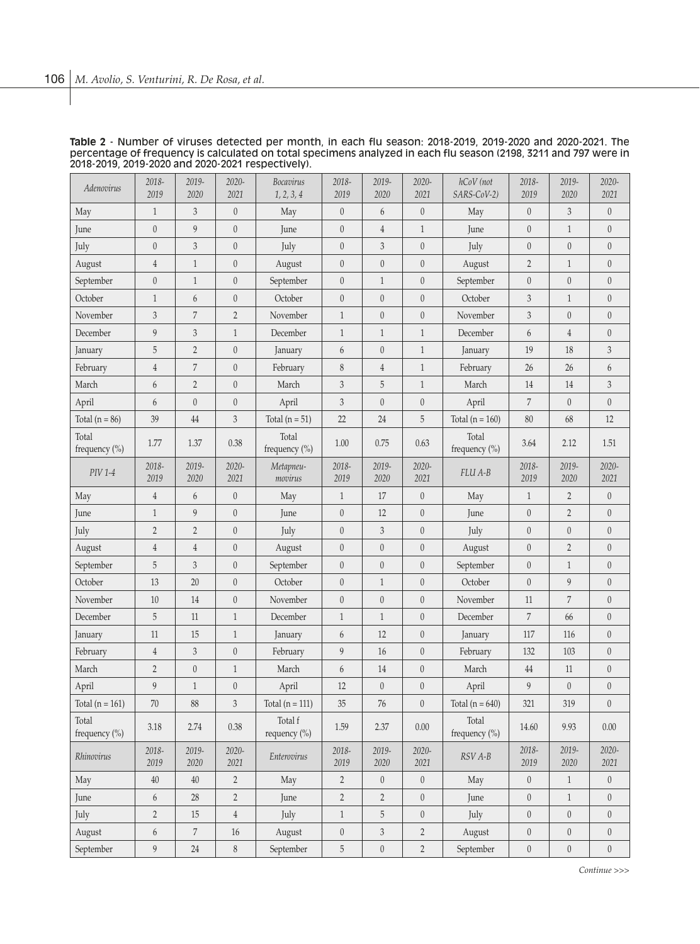| Adenovirus             | 2018-<br>2019    | 2019-<br>2020    | 2020-<br>2021    | Bocavirus<br>1, 2, 3, 4 | 2018-<br>2019    | 2019-<br>2020               | 2020-<br>2021    | hCoV (not<br>SARS-CoV-2)               | 2018-<br>2019    | 2019-<br>2020    | 2020-<br>2021    |
|------------------------|------------------|------------------|------------------|-------------------------|------------------|-----------------------------|------------------|----------------------------------------|------------------|------------------|------------------|
| May                    | $\mathbf{1}$     | 3                | $\boldsymbol{0}$ | May                     | $\boldsymbol{0}$ | $6\,$                       | $\boldsymbol{0}$ | May                                    | $\boldsymbol{0}$ | 3                | $\boldsymbol{0}$ |
| June                   | $\boldsymbol{0}$ | 9                | $\boldsymbol{0}$ | June                    | $\boldsymbol{0}$ | $\overline{4}$              | $\mathbf{1}$     | June                                   | $\boldsymbol{0}$ | $\mathbf{1}$     | $\boldsymbol{0}$ |
| July                   | $\boldsymbol{0}$ | $\mathfrak{Z}$   | $\boldsymbol{0}$ | July                    | $\boldsymbol{0}$ | 3                           | $\boldsymbol{0}$ | July                                   | $\boldsymbol{0}$ | $\theta$         | $\boldsymbol{0}$ |
| August                 | $\overline{4}$   | $\mathbf{1}$     | $\boldsymbol{0}$ | August                  | $\boldsymbol{0}$ | $\boldsymbol{0}$            | $\boldsymbol{0}$ | August                                 | $\overline{2}$   | $\mathbf{1}$     | $\boldsymbol{0}$ |
| September              | $\theta$         | $\mathbf{1}$     | $\boldsymbol{0}$ | September               | $\boldsymbol{0}$ | $\mathbf{1}$                | $\theta$         | September                              | $\boldsymbol{0}$ | $\boldsymbol{0}$ | $\boldsymbol{0}$ |
| October                | $\mathbf{1}$     | 6                | $\boldsymbol{0}$ | October                 | $\theta$         | $\boldsymbol{0}$            | $\theta$         | October                                | $\sqrt{3}$       | $\mathbf{1}$     | $\boldsymbol{0}$ |
| November               | 3                | $\overline{7}$   | $\overline{2}$   | November                | $\mathbf{1}$     | $\boldsymbol{0}$            | $\boldsymbol{0}$ | November                               | 3                | $\theta$         | $\boldsymbol{0}$ |
| December               | 9                | 3                | $\mathbf{1}$     | December                | $\mathbf{1}$     | $\mathbf{1}$                | $\mathbf{1}$     | December                               | $\boldsymbol{6}$ | $\overline{4}$   | $\boldsymbol{0}$ |
| January                | 5                | $\overline{2}$   | $\boldsymbol{0}$ | January                 | 6                | $\boldsymbol{0}$            | $\mathbf{1}$     | January                                | 19               | 18               | 3                |
| February               | $\overline{4}$   | 7                | $\boldsymbol{0}$ | February                | $\,$ $\,$        | $\sqrt{4}$                  | $\mathbf{1}$     | February                               | 26               | 26               | 6                |
| March                  | 6                | $\overline{2}$   | $\boldsymbol{0}$ | March                   | $\sqrt{3}$       | 5                           | $\mathbf{1}$     | March                                  | 14               | 14               | 3                |
| April                  | 6                | $\theta$         | $\boldsymbol{0}$ | April                   | 3                | $\boldsymbol{0}$            | $\boldsymbol{0}$ | April                                  | 7                | $\theta$         | $\boldsymbol{0}$ |
| Total $(n = 86)$       | 39               | 44               | 3                | Total $(n = 51)$        | 22               | $24\,$                      | 5                | Total ( $n = 160$ )                    | 80               | 68               | 12               |
| Total<br>frequency (%) | 1.77             | 1.37             | 0.38             | Total<br>frequency (%)  | 1.00             | 0.75                        | 0.63             | Total<br>frequency (%)                 | 3.64             | 2.12             | 1.51             |
| PIV 1-4                | 2018-<br>2019    | 2019-<br>2020    | 2020-<br>2021    | Metapneu-<br>movirus    | 2018-<br>2019    | 2019-<br>2020               | 2020-<br>2021    | <b>FLU A-B</b>                         | 2018-<br>2019    | 2019-<br>2020    | 2020-<br>2021    |
| May                    | $\overline{4}$   | 6                | $\boldsymbol{0}$ | May                     | $\mathbf{1}$     | 17                          | $\boldsymbol{0}$ | May                                    | $\mathbf{1}$     | $\overline{2}$   | $\theta$         |
| June                   | $\mathbf{1}$     | 9                | $\boldsymbol{0}$ | June                    | $\boldsymbol{0}$ | 12                          | $\boldsymbol{0}$ | June                                   | $\mathbf{0}$     | $\overline{2}$   | $\boldsymbol{0}$ |
| July                   | $\overline{2}$   | $\overline{2}$   | $\boldsymbol{0}$ | July                    | $\boldsymbol{0}$ | 3                           | $\boldsymbol{0}$ | July                                   | $\boldsymbol{0}$ | $\boldsymbol{0}$ | $\boldsymbol{0}$ |
| August                 | $\overline{4}$   | $\overline{4}$   | $\boldsymbol{0}$ | August                  | $\boldsymbol{0}$ | $\boldsymbol{0}$            | $\boldsymbol{0}$ | August                                 | $\boldsymbol{0}$ | $\sqrt{2}$       | $\boldsymbol{0}$ |
| September              | 5                | 3                | $\boldsymbol{0}$ | September               | $\boldsymbol{0}$ | $\mathbf{0}$                | $\boldsymbol{0}$ | September                              | $\mathbf{0}$     | $\mathbf{1}$     | $\boldsymbol{0}$ |
| October                | 13               | 20               | $\boldsymbol{0}$ | October                 | $\boldsymbol{0}$ | $\mathbf{1}$                | $\boldsymbol{0}$ | October                                | $\boldsymbol{0}$ | 9                | $\boldsymbol{0}$ |
| November               | $10\,$           | 14               | $\boldsymbol{0}$ | November                | $\boldsymbol{0}$ | $\mathbf{0}$                | $\boldsymbol{0}$ | November                               | 11               | $\sqrt{7}$       | $\boldsymbol{0}$ |
| December               | 5                | 11               | $\mathbf{1}$     | December                | $\mathbf{1}$     | $\mathbf{1}$                | $\theta$         | December                               | 7                | 66               | $\boldsymbol{0}$ |
| January                | 11               | 15               | $\mathbf{1}$     | January                 | 6                | 12                          | $\boldsymbol{0}$ | January                                | 117              | 116              | $\boldsymbol{0}$ |
| February               | $\overline{4}$   | $\sqrt{3}$       | $\boldsymbol{0}$ | February                | $\boldsymbol{9}$ | 16                          | $\boldsymbol{0}$ | February                               | 132              | 103              | $\boldsymbol{0}$ |
| March                  | $\overline{2}$   | $\boldsymbol{0}$ | $\mathbf{1}$     | March                   | 6                | 14                          | $\boldsymbol{0}$ | March                                  | 44               | 11               | $\boldsymbol{0}$ |
| April                  | 9                | $\mathbf{1}$     | $\boldsymbol{0}$ | April                   | 12               | $\boldsymbol{0}$            | $\boldsymbol{0}$ | April                                  | 9                | $\theta$         | $\boldsymbol{0}$ |
| Total ( $n = 161$ )    | $70\,$           | 88               | 3                | Total $(n = 111)$       | 35               | 76                          | $\theta$         | Total $(n = 640)$                      | 321              | 319              | $\boldsymbol{0}$ |
| Total<br>frequency (%) | 3.18             | 2.74             | $0.38\,$         | Total f<br>requency (%) | $1.59\,$         | 2.37                        | $0.00\,$         | Total<br>frequency (%)                 | $14.60\,$        | $9.93\,$         | $0.00\,$         |
| Rhinovirus             | 2018-<br>2019    | 2019-<br>2020    | 2020-<br>2021    | Enterovirus             | 2018-<br>2019    | 2019-<br>2020               | $2020 -$<br>2021 | $\ensuremath{\mathit{RSV}}\xspace$ A-B | 2018-<br>2019    | 2019-<br>2020    | $2020 -$<br>2021 |
| May                    | $40\,$           | $40\,$           | $\overline{2}$   | May                     | $\sqrt{2}$       | $\boldsymbol{0}$            | $\boldsymbol{0}$ | May                                    | $\boldsymbol{0}$ | $\mathbf{1}$     | $\boldsymbol{0}$ |
| June                   | 6                | $28\,$           | $\overline{2}$   | June                    | $\sqrt{2}$       | $\overline{2}$              | $\boldsymbol{0}$ | June                                   | $\boldsymbol{0}$ | $\mathbf{1}$     | $\boldsymbol{0}$ |
| July                   | $\overline{2}$   | $15\,$           | $\overline{4}$   | July                    | $\mathbf{1}$     | 5                           | $\boldsymbol{0}$ | July                                   | $\boldsymbol{0}$ | $\boldsymbol{0}$ | $\boldsymbol{0}$ |
| August                 | 6                | $\,7$            | $16\,$           | August                  | $\boldsymbol{0}$ | $\ensuremath{\mathfrak{Z}}$ | $\sqrt{2}$       | August                                 | $\boldsymbol{0}$ | $\boldsymbol{0}$ | $\boldsymbol{0}$ |
| September              | $\boldsymbol{9}$ | $24\,$           | $\,$ $\,$        | September               | $\mathbf 5$      | $\boldsymbol{0}$            | $\sqrt{2}$       | September                              | $\boldsymbol{0}$ | $\boldsymbol{0}$ | $\boldsymbol{0}$ |

#### **Table 2** - Number of viruses detected per month, in each flu season: 2018-2019, 2019-2020 and 2020-2021. The percentage of frequency is calculated on total specimens analyzed in each flu season (2198, 3211 and 797 were in 2018-2019, 2019-2020 and 2020-2021 respectively).

*Continue >>>*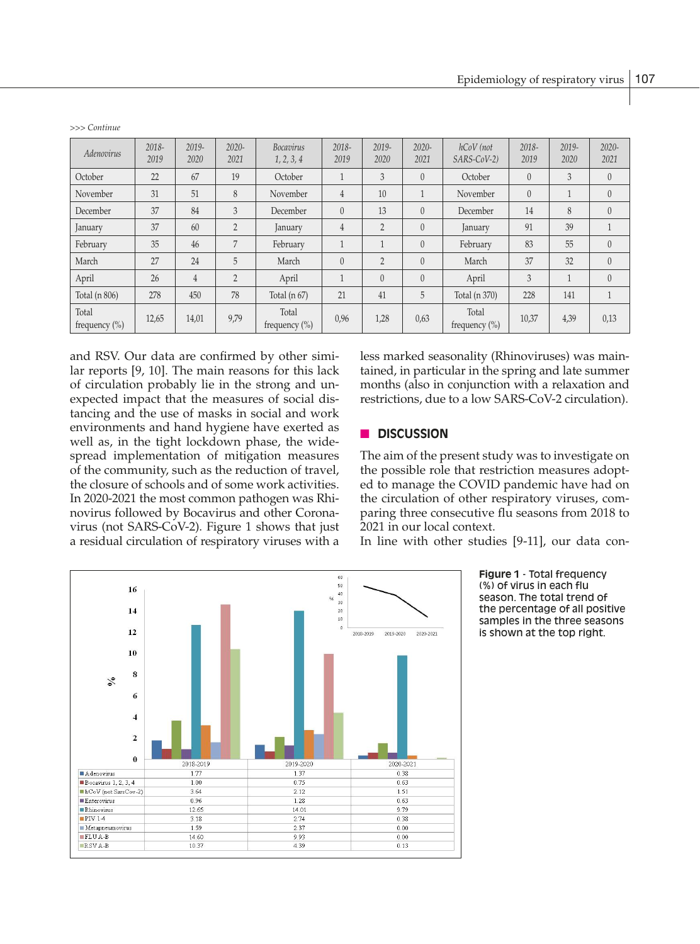| Adenovirus                 | 2018-<br>2019 | 2019-<br>2020  | $2020 -$<br>2021 | <b>Bocavirus</b><br>1, 2, 3, 4 | 2018-<br>2019  | $2019 -$<br>2020 | $2020 -$<br>2021 | hCoV (not<br>SARS-CoV-2)   | 2018-<br>2019 | $2019 -$<br>2020 | $2020 -$<br>2021 |
|----------------------------|---------------|----------------|------------------|--------------------------------|----------------|------------------|------------------|----------------------------|---------------|------------------|------------------|
| October                    | 22            | 67             | 19               | October                        | $\mathbf{1}$   | 3                | $\theta$         | October                    | $\theta$      | 3                | $\theta$         |
| November                   | 31            | 51             | 8                | November                       | $\overline{4}$ | 10               |                  | November                   | $\theta$      |                  | $\theta$         |
| December                   | 37            | 84             | 3                | December                       | $\theta$       | 13               | $\theta$         | December                   | 14            | 8                | $\theta$         |
| January                    | 37            | 60             | $\overline{2}$   | January                        | $\overline{4}$ | $\overline{2}$   | $\theta$         | January                    | 91            | 39               | $\mathbf{1}$     |
| February                   | 35            | 46             | 7                | February                       | $\mathbf{1}$   |                  | $\theta$         | February                   | 83            | 55               | $\theta$         |
| March                      | 27            | 24             | 5                | March                          | $\theta$       | $\overline{2}$   | $\theta$         | March                      | 37            | 32               | $\theta$         |
| April                      | 26            | $\overline{4}$ | $\overline{2}$   | April                          | 1              | $\Omega$         | $\theta$         | April                      | 3             |                  | $\theta$         |
| Total (n 806)              | 278           | 450            | 78               | Total $(n 67)$                 | 21             | 41               | 5                | Total (n 370)              | 228           | 141              | 1                |
| Total<br>frequency $(\% )$ | 12,65         | 14,01          | 9,79             | Total<br>frequency $(\% )$     | 0,96           | 1,28             | 0,63             | Total<br>frequency $(\% )$ | 10,37         | 4,39             | 0,13             |

*>>> Continue*

and RSV. Our data are confirmed by other similar reports [9, 10]. The main reasons for this lack of circulation probably lie in the strong and unexpected impact that the measures of social distancing and the use of masks in social and work environments and hand hygiene have exerted as well as, in the tight lockdown phase, the widespread implementation of mitigation measures of the community, such as the reduction of travel, the closure of schools and of some work activities. In 2020-2021 the most common pathogen was Rhi-<br>the circulation of o novirus followed by Bocavirus and other Coronavirus (not SARS-CoV-2). Figure 1 shows that just a residual circulation of respiratory viruses with a

less marked seasonality (Rhinoviruses) was maintained, in particular in the spring and late summer months (also in conjunction with a relaxation and restrictions, due to a low SARS-CoV-2 circulation).

# n **DISCUSSION**

The aim of the present study was to investigate on the possible role that restriction measures adopted to manage the COVID pandemic have had on the circulation of other respiratory viruses, comparing three consecutive flu seasons from 2018 to 2021 in our local context.

In line with other studies [9-11], our data con-



**Figure 1** - Total frequency (%) of virus in each flu season. The total trend of the percentage of all positive samples in the three seasons is shown at the top right.